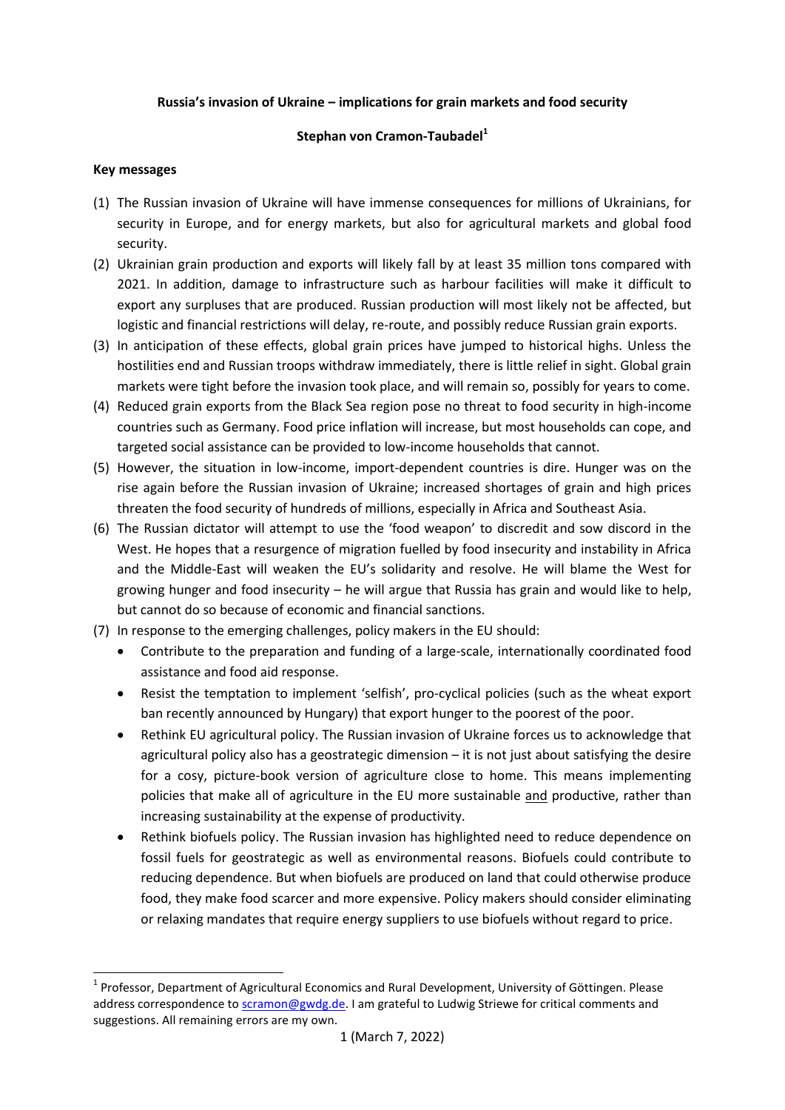### **Russia's invasion of Ukraine – implications for grain markets and food security**

#### **Stephan von Cramon-Taubadel<sup>1</sup>**

#### **Key messages**

**.** 

- (1) The Russian invasion of Ukraine will have immense consequences for millions of Ukrainians, for security in Europe, and for energy markets, but also for agricultural markets and global food security.
- (2) Ukrainian grain production and exports will likely fall by at least 35 million tons compared with 2021. In addition, damage to infrastructure such as harbour facilities will make it difficult to export any surpluses that are produced. Russian production will most likely not be affected, but logistic and financial restrictions will delay, re-route, and possibly reduce Russian grain exports.
- (3) In anticipation of these effects, global grain prices have jumped to historical highs. Unless the hostilities end and Russian troops withdraw immediately, there is little relief in sight. Global grain markets were tight before the invasion took place, and will remain so, possibly for years to come.
- (4) Reduced grain exports from the Black Sea region pose no threat to food security in high-income countries such as Germany. Food price inflation will increase, but most households can cope, and targeted social assistance can be provided to low-income households that cannot.
- (5) However, the situation in low-income, import-dependent countries is dire. Hunger was on the rise again before the Russian invasion of Ukraine; increased shortages of grain and high prices threaten the food security of hundreds of millions, especially in Africa and Southeast Asia.
- (6) The Russian dictator will attempt to use the 'food weapon' to discredit and sow discord in the West. He hopes that a resurgence of migration fuelled by food insecurity and instability in Africa and the Middle-East will weaken the EU's solidarity and resolve. He will blame the West for growing hunger and food insecurity – he will argue that Russia has grain and would like to help, but cannot do so because of economic and financial sanctions.
- (7) In response to the emerging challenges, policy makers in the EU should:
	- Contribute to the preparation and funding of a large-scale, internationally coordinated food assistance and food aid response.
	- Resist the temptation to implement 'selfish', pro-cyclical policies (such as the wheat export ban recently announced by Hungary) that export hunger to the poorest of the poor.
	- Rethink EU agricultural policy. The Russian invasion of Ukraine forces us to acknowledge that agricultural policy also has a geostrategic dimension – it is not just about satisfying the desire for a cosy, picture-book version of agriculture close to home. This means implementing policies that make all of agriculture in the EU more sustainable and productive, rather than increasing sustainability at the expense of productivity.
	- Rethink biofuels policy. The Russian invasion has highlighted need to reduce dependence on fossil fuels for geostrategic as well as environmental reasons. Biofuels could contribute to reducing dependence. But when biofuels are produced on land that could otherwise produce food, they make food scarcer and more expensive. Policy makers should consider eliminating or relaxing mandates that require energy suppliers to use biofuels without regard to price.

<sup>&</sup>lt;sup>1</sup> Professor, Department of Agricultural Economics and Rural Development, University of Göttingen. Please address correspondence to **scramon@gwdg.de**. I am grateful to Ludwig Striewe for critical comments and suggestions. All remaining errors are my own.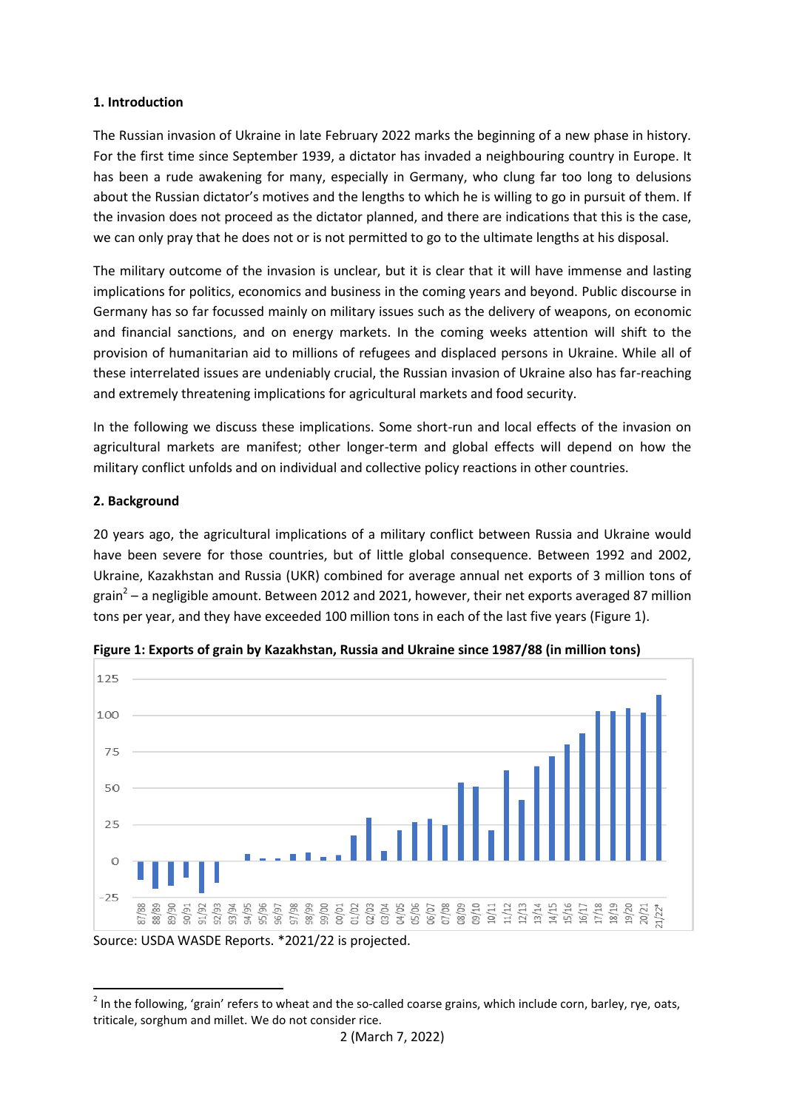### **1. Introduction**

The Russian invasion of Ukraine in late February 2022 marks the beginning of a new phase in history. For the first time since September 1939, a dictator has invaded a neighbouring country in Europe. It has been a rude awakening for many, especially in Germany, who clung far too long to delusions about the Russian dictator's motives and the lengths to which he is willing to go in pursuit of them. If the invasion does not proceed as the dictator planned, and there are indications that this is the case, we can only pray that he does not or is not permitted to go to the ultimate lengths at his disposal.

The military outcome of the invasion is unclear, but it is clear that it will have immense and lasting implications for politics, economics and business in the coming years and beyond. Public discourse in Germany has so far focussed mainly on military issues such as the delivery of weapons, on economic and financial sanctions, and on energy markets. In the coming weeks attention will shift to the provision of humanitarian aid to millions of refugees and displaced persons in Ukraine. While all of these interrelated issues are undeniably crucial, the Russian invasion of Ukraine also has far-reaching and extremely threatening implications for agricultural markets and food security.

In the following we discuss these implications. Some short-run and local effects of the invasion on agricultural markets are manifest; other longer-term and global effects will depend on how the military conflict unfolds and on individual and collective policy reactions in other countries.

## **2. Background**

20 years ago, the agricultural implications of a military conflict between Russia and Ukraine would have been severe for those countries, but of little global consequence. Between 1992 and 2002, Ukraine, Kazakhstan and Russia (UKR) combined for average annual net exports of 3 million tons of grain<sup>2</sup> – a negligible amount. Between 2012 and 2021, however, their net exports averaged 87 million tons per year, and they have exceeded 100 million tons in each of the last five years (Figure 1).



**Figure 1: Exports of grain by Kazakhstan, Russia and Ukraine since 1987/88 (in million tons)**

 2 In the following, 'grain' refers to wheat and the so-called coarse grains, which include corn, barley, rye, oats, triticale, sorghum and millet. We do not consider rice.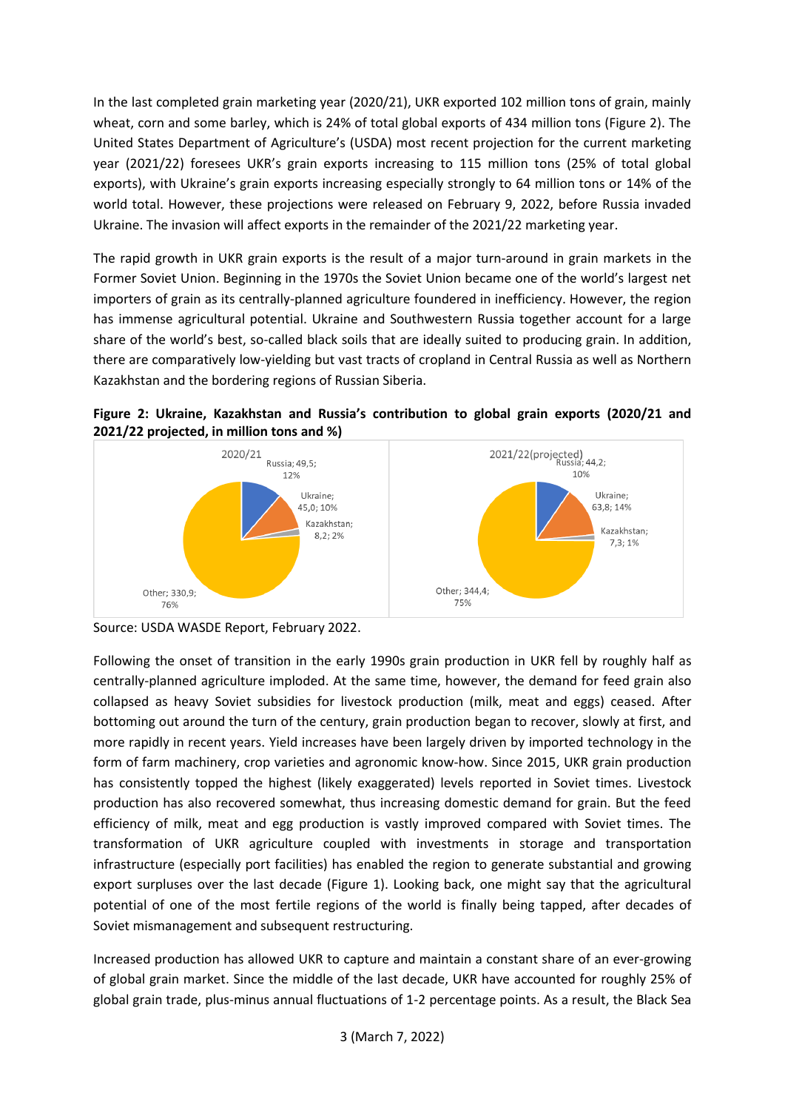In the last completed grain marketing year (2020/21), UKR exported 102 million tons of grain, mainly wheat, corn and some barley, which is 24% of total global exports of 434 million tons (Figure 2). The United States Department of Agriculture's (USDA) most recent projection for the current marketing year (2021/22) foresees UKR's grain exports increasing to 115 million tons (25% of total global exports), with Ukraine's grain exports increasing especially strongly to 64 million tons or 14% of the world total. However, these projections were released on February 9, 2022, before Russia invaded Ukraine. The invasion will affect exports in the remainder of the 2021/22 marketing year.

The rapid growth in UKR grain exports is the result of a major turn-around in grain markets in the Former Soviet Union. Beginning in the 1970s the Soviet Union became one of the world's largest net importers of grain as its centrally-planned agriculture foundered in inefficiency. However, the region has immense agricultural potential. Ukraine and Southwestern Russia together account for a large share of the world's best, so-called black soils that are ideally suited to producing grain. In addition, there are comparatively low-yielding but vast tracts of cropland in Central Russia as well as Northern Kazakhstan and the bordering regions of Russian Siberia.





Source: USDA WASDE Report, February 2022.

Following the onset of transition in the early 1990s grain production in UKR fell by roughly half as centrally-planned agriculture imploded. At the same time, however, the demand for feed grain also collapsed as heavy Soviet subsidies for livestock production (milk, meat and eggs) ceased. After bottoming out around the turn of the century, grain production began to recover, slowly at first, and more rapidly in recent years. Yield increases have been largely driven by imported technology in the form of farm machinery, crop varieties and agronomic know-how. Since 2015, UKR grain production has consistently topped the highest (likely exaggerated) levels reported in Soviet times. Livestock production has also recovered somewhat, thus increasing domestic demand for grain. But the feed efficiency of milk, meat and egg production is vastly improved compared with Soviet times. The transformation of UKR agriculture coupled with investments in storage and transportation infrastructure (especially port facilities) has enabled the region to generate substantial and growing export surpluses over the last decade (Figure 1). Looking back, one might say that the agricultural potential of one of the most fertile regions of the world is finally being tapped, after decades of Soviet mismanagement and subsequent restructuring.

Increased production has allowed UKR to capture and maintain a constant share of an ever-growing of global grain market. Since the middle of the last decade, UKR have accounted for roughly 25% of global grain trade, plus-minus annual fluctuations of 1-2 percentage points. As a result, the Black Sea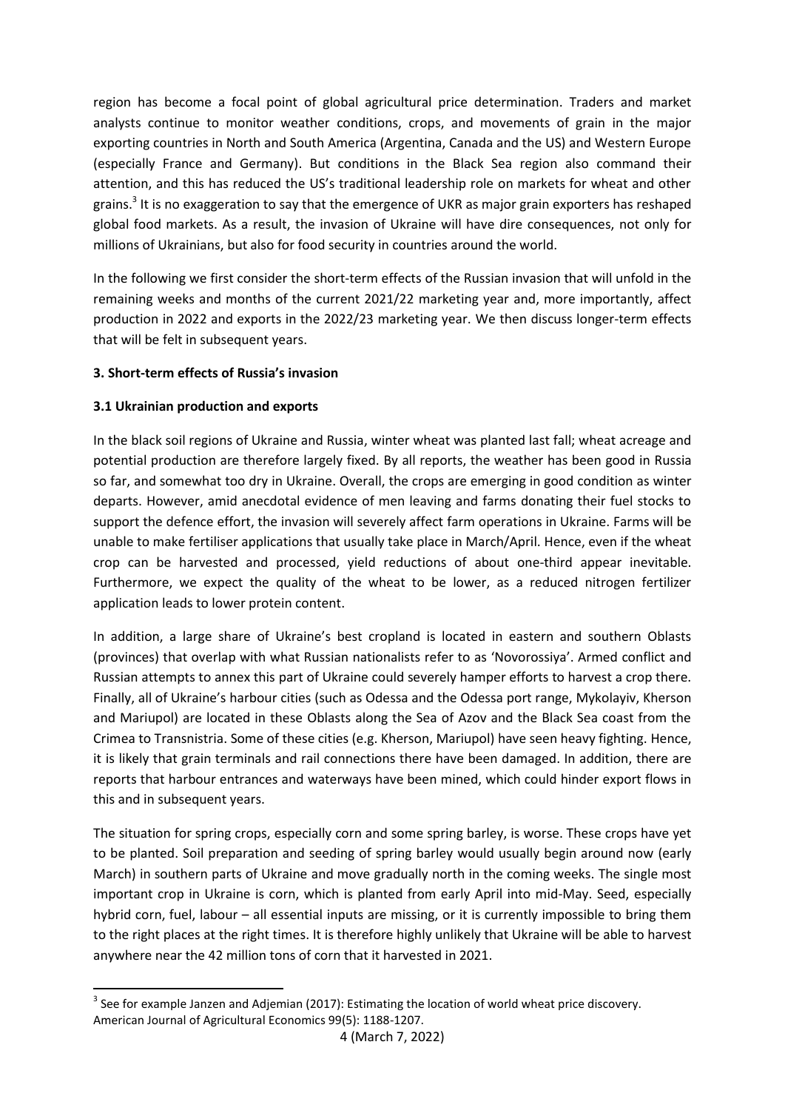region has become a focal point of global agricultural price determination. Traders and market analysts continue to monitor weather conditions, crops, and movements of grain in the major exporting countries in North and South America (Argentina, Canada and the US) and Western Europe (especially France and Germany). But conditions in the Black Sea region also command their attention, and this has reduced the US's traditional leadership role on markets for wheat and other grains.<sup>3</sup> It is no exaggeration to say that the emergence of UKR as major grain exporters has reshaped global food markets. As a result, the invasion of Ukraine will have dire consequences, not only for millions of Ukrainians, but also for food security in countries around the world.

In the following we first consider the short-term effects of the Russian invasion that will unfold in the remaining weeks and months of the current 2021/22 marketing year and, more importantly, affect production in 2022 and exports in the 2022/23 marketing year. We then discuss longer-term effects that will be felt in subsequent years.

## **3. Short-term effects of Russia's invasion**

### **3.1 Ukrainian production and exports**

1

In the black soil regions of Ukraine and Russia, winter wheat was planted last fall; wheat acreage and potential production are therefore largely fixed. By all reports, the weather has been good in Russia so far, and somewhat too dry in Ukraine. Overall, the crops are emerging in good condition as winter departs. However, amid anecdotal evidence of men leaving and farms donating their fuel stocks to support the defence effort, the invasion will severely affect farm operations in Ukraine. Farms will be unable to make fertiliser applications that usually take place in March/April. Hence, even if the wheat crop can be harvested and processed, yield reductions of about one-third appear inevitable. Furthermore, we expect the quality of the wheat to be lower, as a reduced nitrogen fertilizer application leads to lower protein content.

In addition, a large share of Ukraine's best cropland is located in eastern and southern Oblasts (provinces) that overlap with what Russian nationalists refer to as 'Novorossiya'. Armed conflict and Russian attempts to annex this part of Ukraine could severely hamper efforts to harvest a crop there. Finally, all of Ukraine's harbour cities (such as Odessa and the Odessa port range, Mykolayiv, Kherson and Mariupol) are located in these Oblasts along the Sea of Azov and the Black Sea coast from the Crimea to Transnistria. Some of these cities (e.g. Kherson, Mariupol) have seen heavy fighting. Hence, it is likely that grain terminals and rail connections there have been damaged. In addition, there are reports that harbour entrances and waterways have been mined, which could hinder export flows in this and in subsequent years.

The situation for spring crops, especially corn and some spring barley, is worse. These crops have yet to be planted. Soil preparation and seeding of spring barley would usually begin around now (early March) in southern parts of Ukraine and move gradually north in the coming weeks. The single most important crop in Ukraine is corn, which is planted from early April into mid-May. Seed, especially hybrid corn, fuel, labour – all essential inputs are missing, or it is currently impossible to bring them to the right places at the right times. It is therefore highly unlikely that Ukraine will be able to harvest anywhere near the 42 million tons of corn that it harvested in 2021.

 $3$  See for example Janzen and Adjemian (2017): Estimating the location of world wheat price discovery. American Journal of Agricultural Economics 99(5): 1188-1207.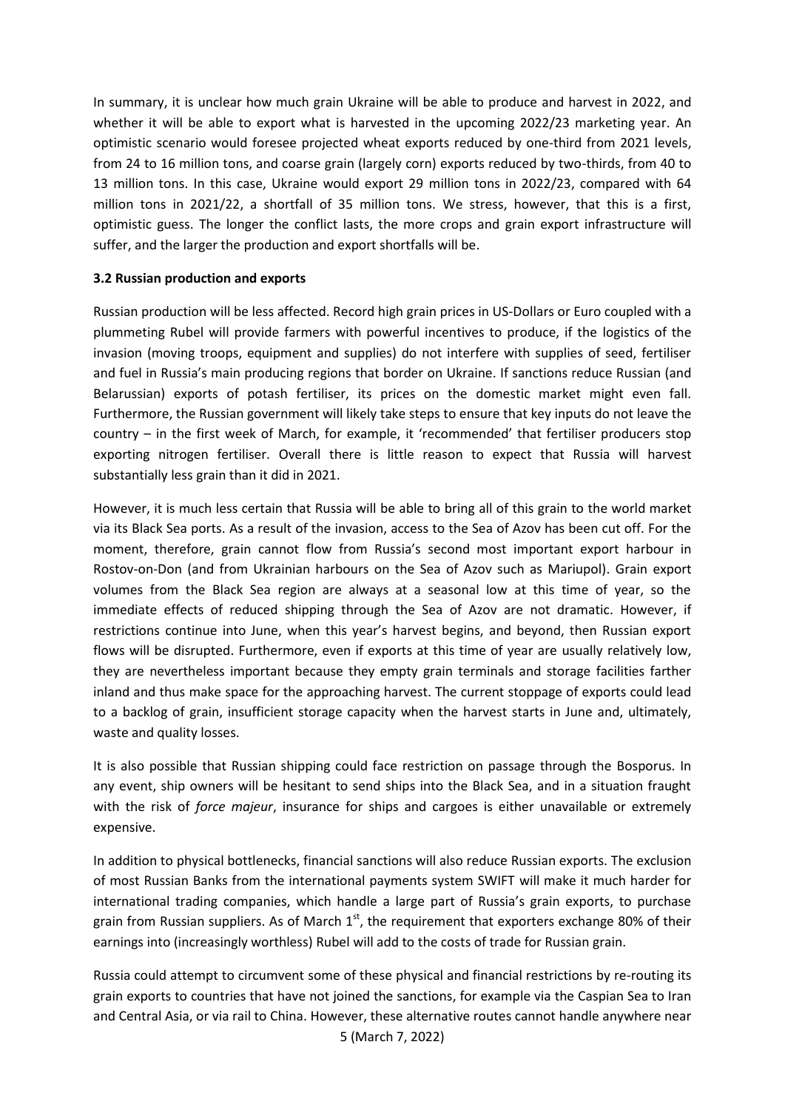In summary, it is unclear how much grain Ukraine will be able to produce and harvest in 2022, and whether it will be able to export what is harvested in the upcoming 2022/23 marketing year. An optimistic scenario would foresee projected wheat exports reduced by one-third from 2021 levels, from 24 to 16 million tons, and coarse grain (largely corn) exports reduced by two-thirds, from 40 to 13 million tons. In this case, Ukraine would export 29 million tons in 2022/23, compared with 64 million tons in 2021/22, a shortfall of 35 million tons. We stress, however, that this is a first, optimistic guess. The longer the conflict lasts, the more crops and grain export infrastructure will suffer, and the larger the production and export shortfalls will be.

### **3.2 Russian production and exports**

Russian production will be less affected. Record high grain prices in US-Dollars or Euro coupled with a plummeting Rubel will provide farmers with powerful incentives to produce, if the logistics of the invasion (moving troops, equipment and supplies) do not interfere with supplies of seed, fertiliser and fuel in Russia's main producing regions that border on Ukraine. If sanctions reduce Russian (and Belarussian) exports of potash fertiliser, its prices on the domestic market might even fall. Furthermore, the Russian government will likely take steps to ensure that key inputs do not leave the country – in the first week of March, for example, it 'recommended' that fertiliser producers stop exporting nitrogen fertiliser. Overall there is little reason to expect that Russia will harvest substantially less grain than it did in 2021.

However, it is much less certain that Russia will be able to bring all of this grain to the world market via its Black Sea ports. As a result of the invasion, access to the Sea of Azov has been cut off. For the moment, therefore, grain cannot flow from Russia's second most important export harbour in Rostov-on-Don (and from Ukrainian harbours on the Sea of Azov such as Mariupol). Grain export volumes from the Black Sea region are always at a seasonal low at this time of year, so the immediate effects of reduced shipping through the Sea of Azov are not dramatic. However, if restrictions continue into June, when this year's harvest begins, and beyond, then Russian export flows will be disrupted. Furthermore, even if exports at this time of year are usually relatively low, they are nevertheless important because they empty grain terminals and storage facilities farther inland and thus make space for the approaching harvest. The current stoppage of exports could lead to a backlog of grain, insufficient storage capacity when the harvest starts in June and, ultimately, waste and quality losses.

It is also possible that Russian shipping could face restriction on passage through the Bosporus. In any event, ship owners will be hesitant to send ships into the Black Sea, and in a situation fraught with the risk of *force majeur*, insurance for ships and cargoes is either unavailable or extremely expensive.

In addition to physical bottlenecks, financial sanctions will also reduce Russian exports. The exclusion of most Russian Banks from the international payments system SWIFT will make it much harder for international trading companies, which handle a large part of Russia's grain exports, to purchase grain from Russian suppliers. As of March  $1<sup>st</sup>$ , the requirement that exporters exchange 80% of their earnings into (increasingly worthless) Rubel will add to the costs of trade for Russian grain.

Russia could attempt to circumvent some of these physical and financial restrictions by re-routing its grain exports to countries that have not joined the sanctions, for example via the Caspian Sea to Iran and Central Asia, or via rail to China. However, these alternative routes cannot handle anywhere near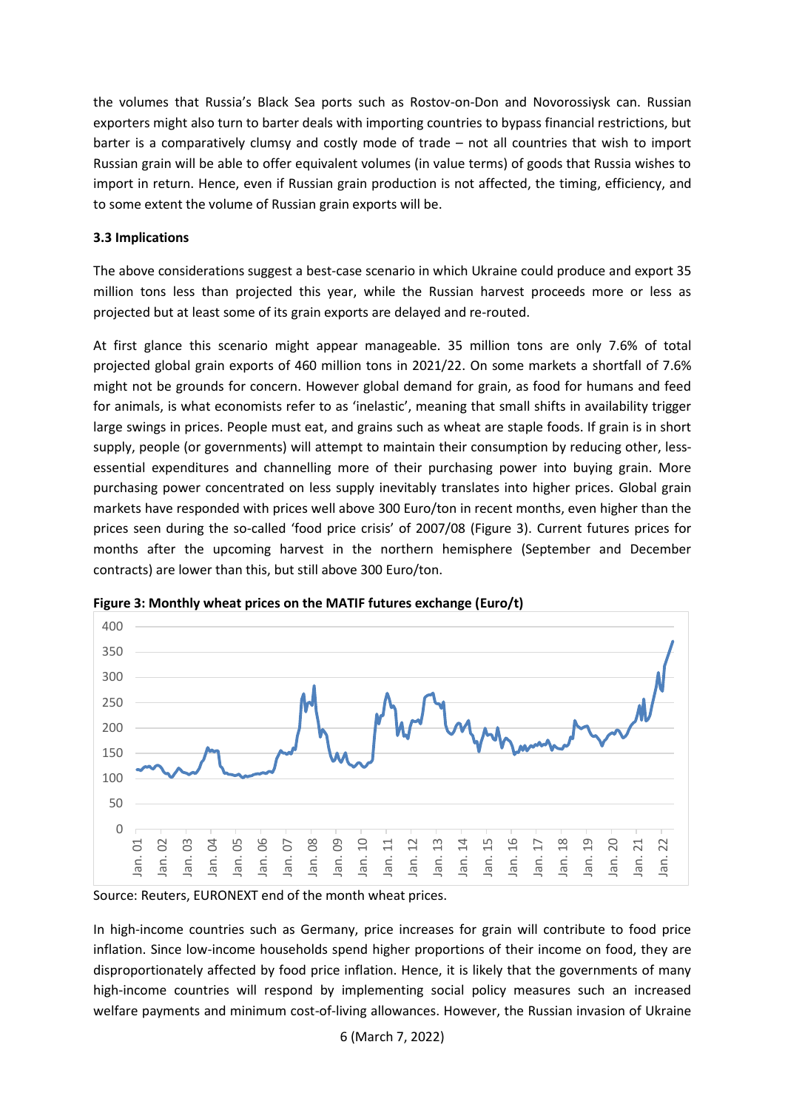the volumes that Russia's Black Sea ports such as Rostov-on-Don and Novorossiysk can. Russian exporters might also turn to barter deals with importing countries to bypass financial restrictions, but barter is a comparatively clumsy and costly mode of trade – not all countries that wish to import Russian grain will be able to offer equivalent volumes (in value terms) of goods that Russia wishes to import in return. Hence, even if Russian grain production is not affected, the timing, efficiency, and to some extent the volume of Russian grain exports will be.

## **3.3 Implications**

The above considerations suggest a best-case scenario in which Ukraine could produce and export 35 million tons less than projected this year, while the Russian harvest proceeds more or less as projected but at least some of its grain exports are delayed and re-routed.

At first glance this scenario might appear manageable. 35 million tons are only 7.6% of total projected global grain exports of 460 million tons in 2021/22. On some markets a shortfall of 7.6% might not be grounds for concern. However global demand for grain, as food for humans and feed for animals, is what economists refer to as 'inelastic', meaning that small shifts in availability trigger large swings in prices. People must eat, and grains such as wheat are staple foods. If grain is in short supply, people (or governments) will attempt to maintain their consumption by reducing other, lessessential expenditures and channelling more of their purchasing power into buying grain. More purchasing power concentrated on less supply inevitably translates into higher prices. Global grain markets have responded with prices well above 300 Euro/ton in recent months, even higher than the prices seen during the so-called 'food price crisis' of 2007/08 (Figure 3). Current futures prices for months after the upcoming harvest in the northern hemisphere (September and December contracts) are lower than this, but still above 300 Euro/ton.



**Figure 3: Monthly wheat prices on the MATIF futures exchange (Euro/t)**

Source: Reuters, EURONEXT end of the month wheat prices.

In high-income countries such as Germany, price increases for grain will contribute to food price inflation. Since low-income households spend higher proportions of their income on food, they are disproportionately affected by food price inflation. Hence, it is likely that the governments of many high-income countries will respond by implementing social policy measures such an increased welfare payments and minimum cost-of-living allowances. However, the Russian invasion of Ukraine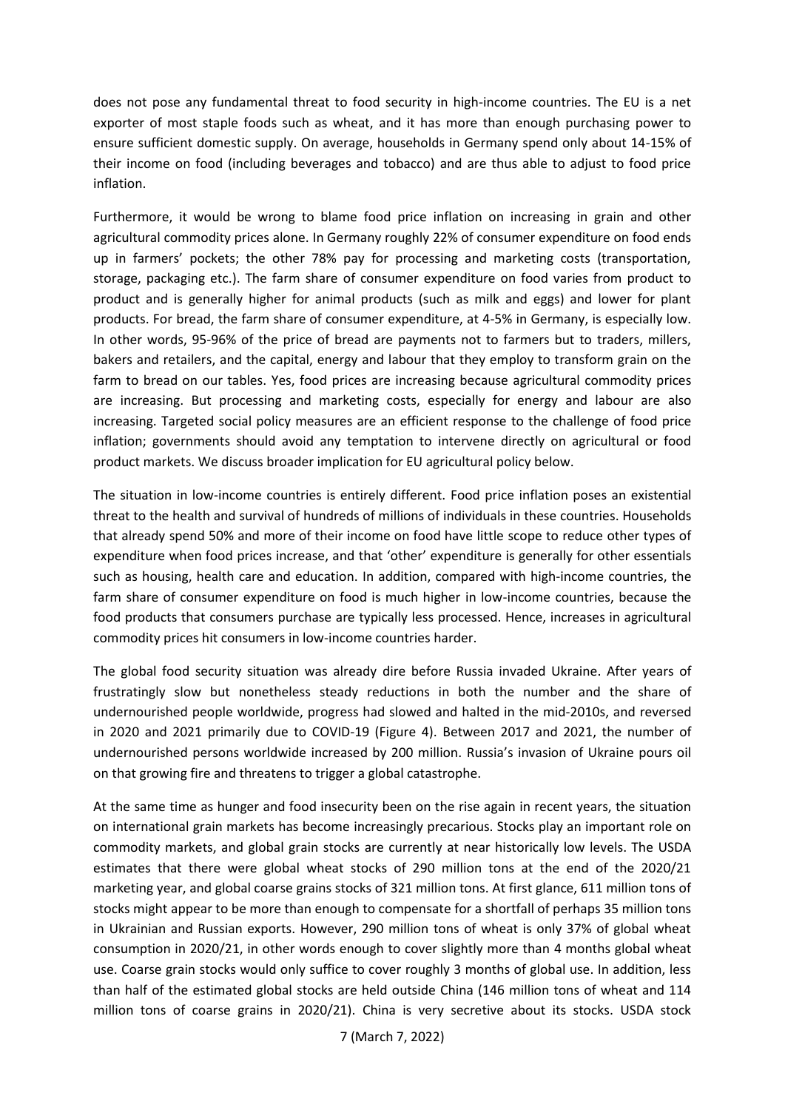does not pose any fundamental threat to food security in high-income countries. The EU is a net exporter of most staple foods such as wheat, and it has more than enough purchasing power to ensure sufficient domestic supply. On average, households in Germany spend only about 14-15% of their income on food (including beverages and tobacco) and are thus able to adjust to food price inflation.

Furthermore, it would be wrong to blame food price inflation on increasing in grain and other agricultural commodity prices alone. In Germany roughly 22% of consumer expenditure on food ends up in farmers' pockets; the other 78% pay for processing and marketing costs (transportation, storage, packaging etc.). The farm share of consumer expenditure on food varies from product to product and is generally higher for animal products (such as milk and eggs) and lower for plant products. For bread, the farm share of consumer expenditure, at 4-5% in Germany, is especially low. In other words, 95-96% of the price of bread are payments not to farmers but to traders, millers, bakers and retailers, and the capital, energy and labour that they employ to transform grain on the farm to bread on our tables. Yes, food prices are increasing because agricultural commodity prices are increasing. But processing and marketing costs, especially for energy and labour are also increasing. Targeted social policy measures are an efficient response to the challenge of food price inflation; governments should avoid any temptation to intervene directly on agricultural or food product markets. We discuss broader implication for EU agricultural policy below.

The situation in low-income countries is entirely different. Food price inflation poses an existential threat to the health and survival of hundreds of millions of individuals in these countries. Households that already spend 50% and more of their income on food have little scope to reduce other types of expenditure when food prices increase, and that 'other' expenditure is generally for other essentials such as housing, health care and education. In addition, compared with high-income countries, the farm share of consumer expenditure on food is much higher in low-income countries, because the food products that consumers purchase are typically less processed. Hence, increases in agricultural commodity prices hit consumers in low-income countries harder.

The global food security situation was already dire before Russia invaded Ukraine. After years of frustratingly slow but nonetheless steady reductions in both the number and the share of undernourished people worldwide, progress had slowed and halted in the mid-2010s, and reversed in 2020 and 2021 primarily due to COVID-19 (Figure 4). Between 2017 and 2021, the number of undernourished persons worldwide increased by 200 million. Russia's invasion of Ukraine pours oil on that growing fire and threatens to trigger a global catastrophe.

At the same time as hunger and food insecurity been on the rise again in recent years, the situation on international grain markets has become increasingly precarious. Stocks play an important role on commodity markets, and global grain stocks are currently at near historically low levels. The USDA estimates that there were global wheat stocks of 290 million tons at the end of the 2020/21 marketing year, and global coarse grains stocks of 321 million tons. At first glance, 611 million tons of stocks might appear to be more than enough to compensate for a shortfall of perhaps 35 million tons in Ukrainian and Russian exports. However, 290 million tons of wheat is only 37% of global wheat consumption in 2020/21, in other words enough to cover slightly more than 4 months global wheat use. Coarse grain stocks would only suffice to cover roughly 3 months of global use. In addition, less than half of the estimated global stocks are held outside China (146 million tons of wheat and 114 million tons of coarse grains in 2020/21). China is very secretive about its stocks. USDA stock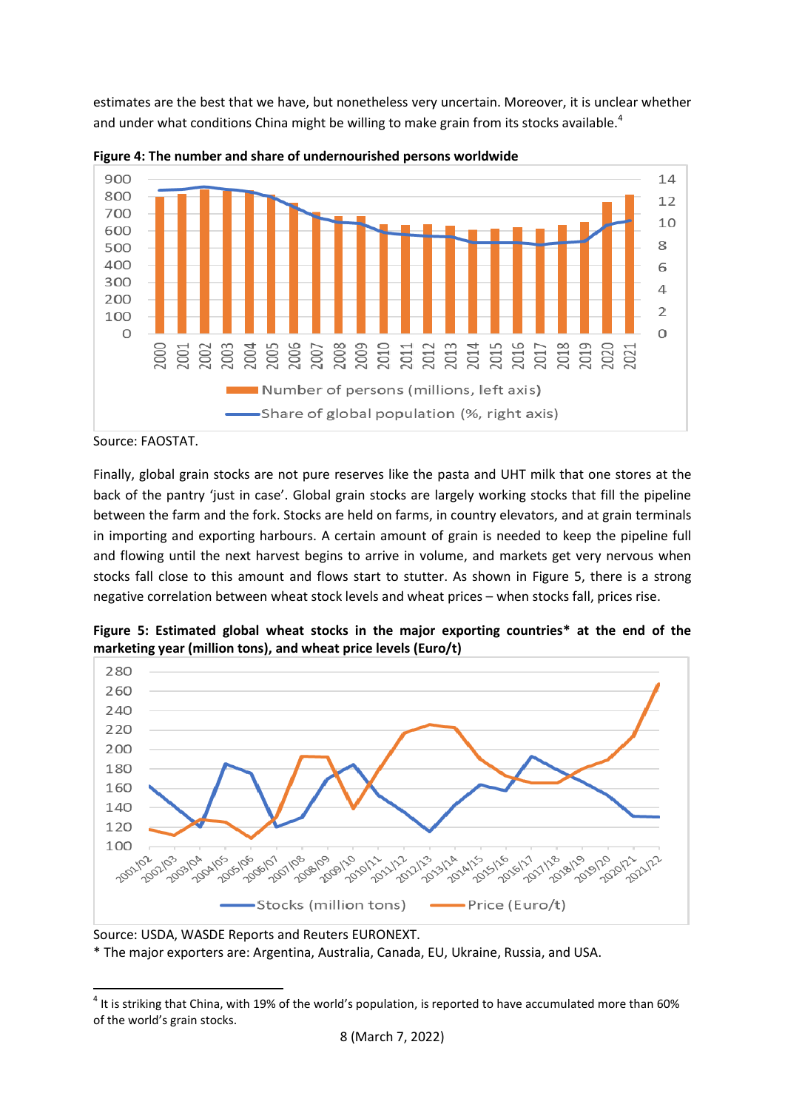estimates are the best that we have, but nonetheless very uncertain. Moreover, it is unclear whether and under what conditions China might be willing to make grain from its stocks available.<sup>4</sup>

![](_page_7_Figure_1.jpeg)

![](_page_7_Figure_2.jpeg)

Source: FAOSTAT.

1

Finally, global grain stocks are not pure reserves like the pasta and UHT milk that one stores at the back of the pantry 'just in case'. Global grain stocks are largely working stocks that fill the pipeline between the farm and the fork. Stocks are held on farms, in country elevators, and at grain terminals in importing and exporting harbours. A certain amount of grain is needed to keep the pipeline full and flowing until the next harvest begins to arrive in volume, and markets get very nervous when stocks fall close to this amount and flows start to stutter. As shown in Figure 5, there is a strong negative correlation between wheat stock levels and wheat prices – when stocks fall, prices rise.

**Figure 5: Estimated global wheat stocks in the major exporting countries\* at the end of the marketing year (million tons), and wheat price levels (Euro/t)**

![](_page_7_Figure_6.jpeg)

Source: USDA, WASDE Reports and Reuters EURONEXT.

\* The major exporters are: Argentina, Australia, Canada, EU, Ukraine, Russia, and USA.

 $^4$  It is striking that China, with 19% of the world's population, is reported to have accumulated more than 60% of the world's grain stocks.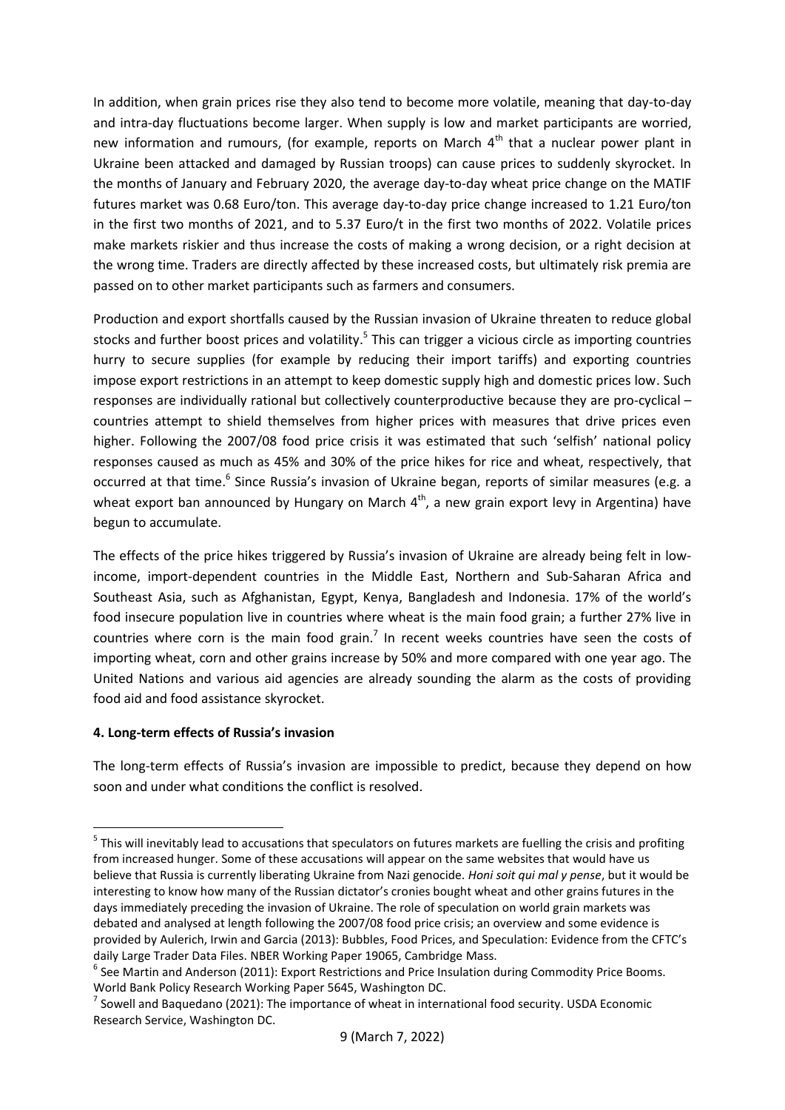In addition, when grain prices rise they also tend to become more volatile, meaning that day-to-day and intra-day fluctuations become larger. When supply is low and market participants are worried, new information and rumours, (for example, reports on March  $4<sup>th</sup>$  that a nuclear power plant in Ukraine been attacked and damaged by Russian troops) can cause prices to suddenly skyrocket. In the months of January and February 2020, the average day-to-day wheat price change on the MATIF futures market was 0.68 Euro/ton. This average day-to-day price change increased to 1.21 Euro/ton in the first two months of 2021, and to 5.37 Euro/t in the first two months of 2022. Volatile prices make markets riskier and thus increase the costs of making a wrong decision, or a right decision at the wrong time. Traders are directly affected by these increased costs, but ultimately risk premia are passed on to other market participants such as farmers and consumers.

Production and export shortfalls caused by the Russian invasion of Ukraine threaten to reduce global stocks and further boost prices and volatility.<sup>5</sup> This can trigger a vicious circle as importing countries hurry to secure supplies (for example by reducing their import tariffs) and exporting countries impose export restrictions in an attempt to keep domestic supply high and domestic prices low. Such responses are individually rational but collectively counterproductive because they are pro-cyclical – countries attempt to shield themselves from higher prices with measures that drive prices even higher. Following the 2007/08 food price crisis it was estimated that such 'selfish' national policy responses caused as much as 45% and 30% of the price hikes for rice and wheat, respectively, that occurred at that time.<sup>6</sup> Since Russia's invasion of Ukraine began, reports of similar measures (e.g. a wheat export ban announced by Hungary on March  $4<sup>th</sup>$ , a new grain export levy in Argentina) have begun to accumulate.

The effects of the price hikes triggered by Russia's invasion of Ukraine are already being felt in lowincome, import-dependent countries in the Middle East, Northern and Sub-Saharan Africa and Southeast Asia, such as Afghanistan, Egypt, Kenya, Bangladesh and Indonesia. 17% of the world's food insecure population live in countries where wheat is the main food grain; a further 27% live in countries where corn is the main food grain.<sup>7</sup> In recent weeks countries have seen the costs of importing wheat, corn and other grains increase by 50% and more compared with one year ago. The United Nations and various aid agencies are already sounding the alarm as the costs of providing food aid and food assistance skyrocket.

## **4. Long-term effects of Russia's invasion**

 $\overline{\phantom{a}}$ 

The long-term effects of Russia's invasion are impossible to predict, because they depend on how soon and under what conditions the conflict is resolved.

<sup>&</sup>lt;sup>5</sup> This will inevitably lead to accusations that speculators on futures markets are fuelling the crisis and profiting from increased hunger. Some of these accusations will appear on the same websites that would have us believe that Russia is currently liberating Ukraine from Nazi genocide. *Honi soit qui mal y pense*, but it would be interesting to know how many of the Russian dictator's cronies bought wheat and other grains futures in the days immediately preceding the invasion of Ukraine. The role of speculation on world grain markets was debated and analysed at length following the 2007/08 food price crisis; an overview and some evidence is provided by Aulerich, Irwin and Garcia (2013): Bubbles, Food Prices, and Speculation: Evidence from the CFTC's daily Large Trader Data Files. NBER Working Paper 19065, Cambridge Mass.

<sup>&</sup>lt;sup>6</sup> See Martin and Anderson (2011): Export Restrictions and Price Insulation during Commodity Price Booms. World Bank Policy Research Working Paper 5645, Washington DC.

 $^7$  Sowell and Baquedano (2021): The importance of wheat in international food security. USDA Economic Research Service, Washington DC.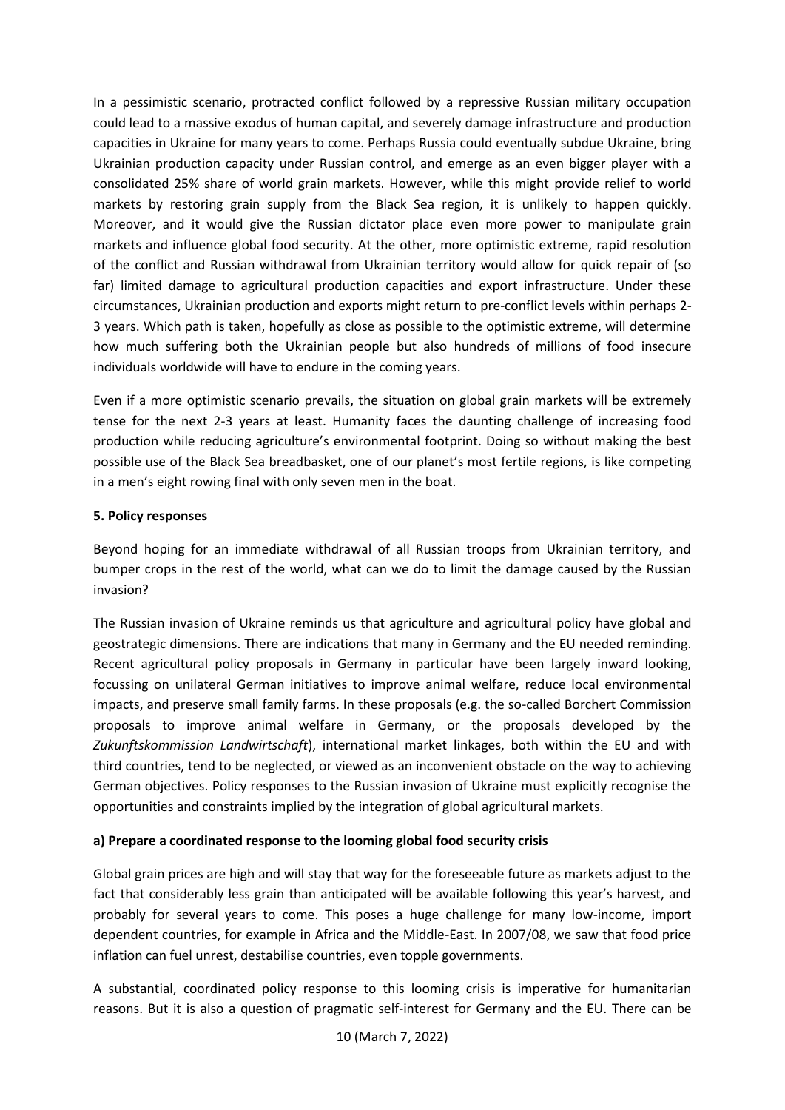In a pessimistic scenario, protracted conflict followed by a repressive Russian military occupation could lead to a massive exodus of human capital, and severely damage infrastructure and production capacities in Ukraine for many years to come. Perhaps Russia could eventually subdue Ukraine, bring Ukrainian production capacity under Russian control, and emerge as an even bigger player with a consolidated 25% share of world grain markets. However, while this might provide relief to world markets by restoring grain supply from the Black Sea region, it is unlikely to happen quickly. Moreover, and it would give the Russian dictator place even more power to manipulate grain markets and influence global food security. At the other, more optimistic extreme, rapid resolution of the conflict and Russian withdrawal from Ukrainian territory would allow for quick repair of (so far) limited damage to agricultural production capacities and export infrastructure. Under these circumstances, Ukrainian production and exports might return to pre-conflict levels within perhaps 2- 3 years. Which path is taken, hopefully as close as possible to the optimistic extreme, will determine how much suffering both the Ukrainian people but also hundreds of millions of food insecure individuals worldwide will have to endure in the coming years.

Even if a more optimistic scenario prevails, the situation on global grain markets will be extremely tense for the next 2-3 years at least. Humanity faces the daunting challenge of increasing food production while reducing agriculture's environmental footprint. Doing so without making the best possible use of the Black Sea breadbasket, one of our planet's most fertile regions, is like competing in a men's eight rowing final with only seven men in the boat.

## **5. Policy responses**

Beyond hoping for an immediate withdrawal of all Russian troops from Ukrainian territory, and bumper crops in the rest of the world, what can we do to limit the damage caused by the Russian invasion?

The Russian invasion of Ukraine reminds us that agriculture and agricultural policy have global and geostrategic dimensions. There are indications that many in Germany and the EU needed reminding. Recent agricultural policy proposals in Germany in particular have been largely inward looking, focussing on unilateral German initiatives to improve animal welfare, reduce local environmental impacts, and preserve small family farms. In these proposals (e.g. the so-called Borchert Commission proposals to improve animal welfare in Germany, or the proposals developed by the *Zukunftskommission Landwirtschaft*), international market linkages, both within the EU and with third countries, tend to be neglected, or viewed as an inconvenient obstacle on the way to achieving German objectives. Policy responses to the Russian invasion of Ukraine must explicitly recognise the opportunities and constraints implied by the integration of global agricultural markets.

## **a) Prepare a coordinated response to the looming global food security crisis**

Global grain prices are high and will stay that way for the foreseeable future as markets adjust to the fact that considerably less grain than anticipated will be available following this year's harvest, and probably for several years to come. This poses a huge challenge for many low-income, import dependent countries, for example in Africa and the Middle-East. In 2007/08, we saw that food price inflation can fuel unrest, destabilise countries, even topple governments.

A substantial, coordinated policy response to this looming crisis is imperative for humanitarian reasons. But it is also a question of pragmatic self-interest for Germany and the EU. There can be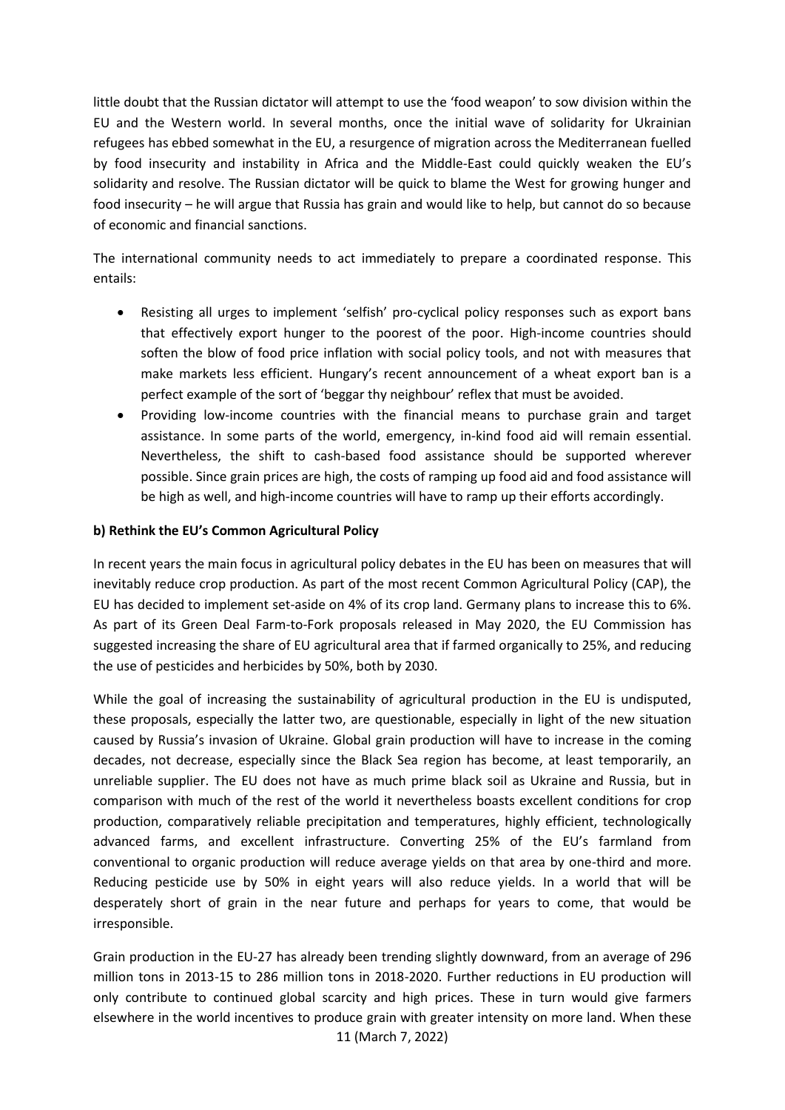little doubt that the Russian dictator will attempt to use the 'food weapon' to sow division within the EU and the Western world. In several months, once the initial wave of solidarity for Ukrainian refugees has ebbed somewhat in the EU, a resurgence of migration across the Mediterranean fuelled by food insecurity and instability in Africa and the Middle-East could quickly weaken the EU's solidarity and resolve. The Russian dictator will be quick to blame the West for growing hunger and food insecurity – he will argue that Russia has grain and would like to help, but cannot do so because of economic and financial sanctions.

The international community needs to act immediately to prepare a coordinated response. This entails:

- Resisting all urges to implement 'selfish' pro-cyclical policy responses such as export bans that effectively export hunger to the poorest of the poor. High-income countries should soften the blow of food price inflation with social policy tools, and not with measures that make markets less efficient. Hungary's recent announcement of a wheat export ban is a perfect example of the sort of 'beggar thy neighbour' reflex that must be avoided.
- Providing low-income countries with the financial means to purchase grain and target assistance. In some parts of the world, emergency, in-kind food aid will remain essential. Nevertheless, the shift to cash-based food assistance should be supported wherever possible. Since grain prices are high, the costs of ramping up food aid and food assistance will be high as well, and high-income countries will have to ramp up their efforts accordingly.

## **b) Rethink the EU's Common Agricultural Policy**

In recent years the main focus in agricultural policy debates in the EU has been on measures that will inevitably reduce crop production. As part of the most recent Common Agricultural Policy (CAP), the EU has decided to implement set-aside on 4% of its crop land. Germany plans to increase this to 6%. As part of its Green Deal Farm-to-Fork proposals released in May 2020, the EU Commission has suggested increasing the share of EU agricultural area that if farmed organically to 25%, and reducing the use of pesticides and herbicides by 50%, both by 2030.

While the goal of increasing the sustainability of agricultural production in the EU is undisputed, these proposals, especially the latter two, are questionable, especially in light of the new situation caused by Russia's invasion of Ukraine. Global grain production will have to increase in the coming decades, not decrease, especially since the Black Sea region has become, at least temporarily, an unreliable supplier. The EU does not have as much prime black soil as Ukraine and Russia, but in comparison with much of the rest of the world it nevertheless boasts excellent conditions for crop production, comparatively reliable precipitation and temperatures, highly efficient, technologically advanced farms, and excellent infrastructure. Converting 25% of the EU's farmland from conventional to organic production will reduce average yields on that area by one-third and more. Reducing pesticide use by 50% in eight years will also reduce yields. In a world that will be desperately short of grain in the near future and perhaps for years to come, that would be irresponsible.

11 (March 7, 2022) Grain production in the EU-27 has already been trending slightly downward, from an average of 296 million tons in 2013-15 to 286 million tons in 2018-2020. Further reductions in EU production will only contribute to continued global scarcity and high prices. These in turn would give farmers elsewhere in the world incentives to produce grain with greater intensity on more land. When these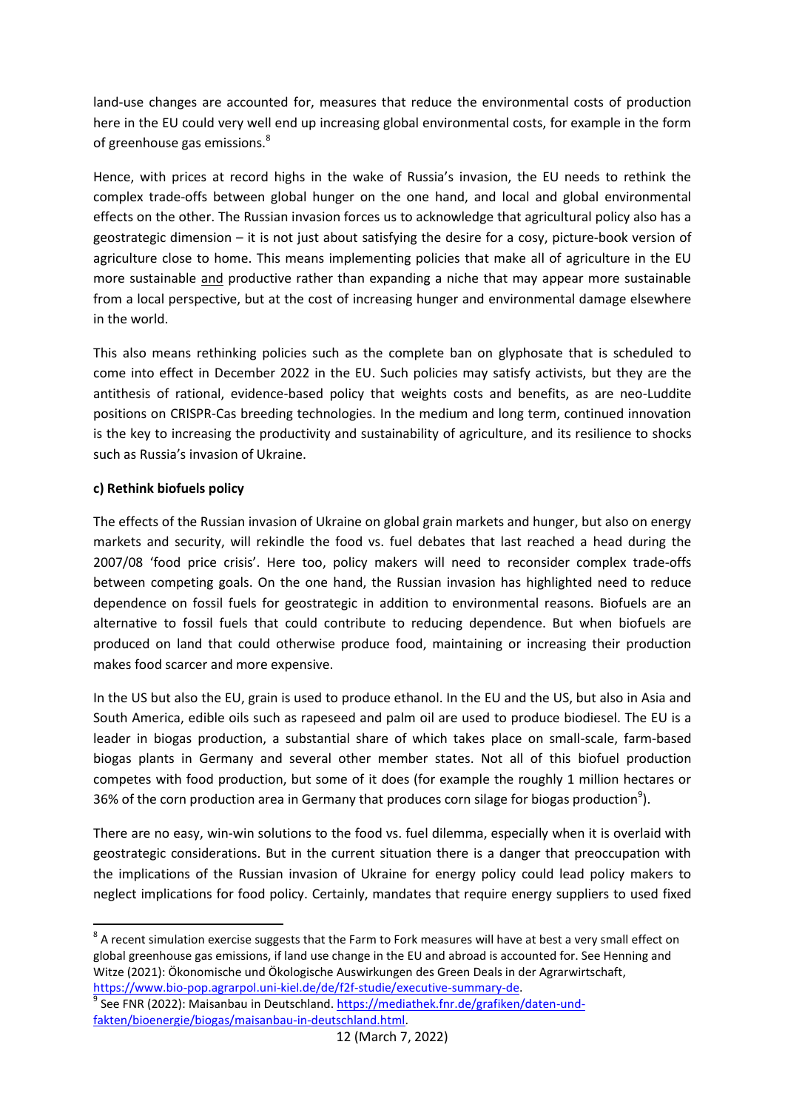land-use changes are accounted for, measures that reduce the environmental costs of production here in the EU could very well end up increasing global environmental costs, for example in the form of greenhouse gas emissions.<sup>8</sup>

Hence, with prices at record highs in the wake of Russia's invasion, the EU needs to rethink the complex trade-offs between global hunger on the one hand, and local and global environmental effects on the other. The Russian invasion forces us to acknowledge that agricultural policy also has a geostrategic dimension – it is not just about satisfying the desire for a cosy, picture-book version of agriculture close to home. This means implementing policies that make all of agriculture in the EU more sustainable and productive rather than expanding a niche that may appear more sustainable from a local perspective, but at the cost of increasing hunger and environmental damage elsewhere in the world.

This also means rethinking policies such as the complete ban on glyphosate that is scheduled to come into effect in December 2022 in the EU. Such policies may satisfy activists, but they are the antithesis of rational, evidence-based policy that weights costs and benefits, as are neo-Luddite positions on CRISPR-Cas breeding technologies. In the medium and long term, continued innovation is the key to increasing the productivity and sustainability of agriculture, and its resilience to shocks such as Russia's invasion of Ukraine.

# **c) Rethink biofuels policy**

**.** 

The effects of the Russian invasion of Ukraine on global grain markets and hunger, but also on energy markets and security, will rekindle the food vs. fuel debates that last reached a head during the 2007/08 'food price crisis'. Here too, policy makers will need to reconsider complex trade-offs between competing goals. On the one hand, the Russian invasion has highlighted need to reduce dependence on fossil fuels for geostrategic in addition to environmental reasons. Biofuels are an alternative to fossil fuels that could contribute to reducing dependence. But when biofuels are produced on land that could otherwise produce food, maintaining or increasing their production makes food scarcer and more expensive.

In the US but also the EU, grain is used to produce ethanol. In the EU and the US, but also in Asia and South America, edible oils such as rapeseed and palm oil are used to produce biodiesel. The EU is a leader in biogas production, a substantial share of which takes place on small-scale, farm-based biogas plants in Germany and several other member states. Not all of this biofuel production competes with food production, but some of it does (for example the roughly 1 million hectares or 36% of the corn production area in Germany that produces corn silage for biogas production<sup>9</sup>).

There are no easy, win-win solutions to the food vs. fuel dilemma, especially when it is overlaid with geostrategic considerations. But in the current situation there is a danger that preoccupation with the implications of the Russian invasion of Ukraine for energy policy could lead policy makers to neglect implications for food policy. Certainly, mandates that require energy suppliers to used fixed

 $^8$  A recent simulation exercise suggests that the Farm to Fork measures will have at best a very small effect on global greenhouse gas emissions, if land use change in the EU and abroad is accounted for. See Henning and Witze (2021): Ökonomische und Ökologische Auswirkungen des Green Deals in der Agrarwirtschaft, [https://www.bio-pop.agrarpol.uni-kiel.de/de/f2f-studie/executive-summary-de.](https://www.bio-pop.agrarpol.uni-kiel.de/de/f2f-studie/executive-summary-de)

<sup>&</sup>lt;sup>9</sup> See FNR (2022): Maisanbau in Deutschland[. https://mediathek.fnr.de/grafiken/daten-und](https://mediathek.fnr.de/grafiken/daten-und-fakten/bioenergie/biogas/maisanbau-in-deutschland.html)[fakten/bioenergie/biogas/maisanbau-in-deutschland.html.](https://mediathek.fnr.de/grafiken/daten-und-fakten/bioenergie/biogas/maisanbau-in-deutschland.html)